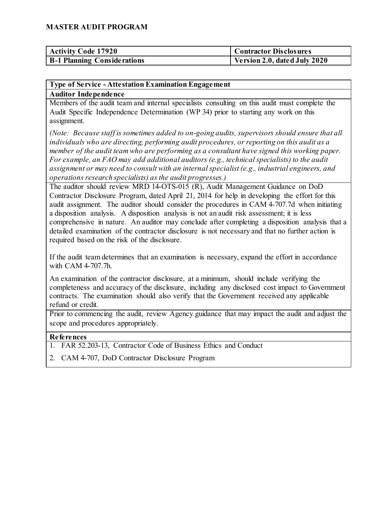| <b>Activity Code 17920</b>         | <b>Contractor Disclosures</b> |
|------------------------------------|-------------------------------|
| <b>B-1 Planning Considerations</b> | Version 2.0, dated July 2020  |

### **Type of Service - Attestation Examination Engagement**

#### **Auditor Independence**

Members of the audit team and internal specialists consulting on this audit must complete the Audit Specific Independence Determination (WP 34) prior to starting any work on this assignment.

*(Note: Because staff is sometimes added to on-going audits, supervisors should ensure that all individuals who are directing, performing audit procedures, or reporting on this audit as a member of the audit team who are performing as a consultant have signed this working paper. For example, an FAO may add additional auditors (e.g., technical specialists) to the audit assignment or may need to consult with an internal specialist (e.g., industrial engineers, and operations research specialists) as the audit progresses.)*

The auditor should review MRD 14-OTS-015 (R), Audit Management Guidance on DoD Contractor Disclosure Program, dated April 21, 2014 for help in developing the effort for this audit assignment. The auditor should consider the procedures in CAM 4-707.7d when initiating a disposition analysis. A disposition analysis is not an audit risk assessment; it is less comprehensive in nature. An auditor may conclude after completing a disposition analysis that a detailed examination of the contractor disclosure is not necessary and that no further action is required based on the risk of the disclosure.

If the audit team determines that an examination is necessary, expand the effort in accordance with CAM 4-707.7h.

An examination of the contractor disclosure, at a minimum, should include verifying the completeness and accuracy of the disclosure, including any disclosed cost impact to Government contracts. The examination should also verify that the Government received any applicable refund or credit.

Prior to commencing the audit, review Agency guidance that may impact the audit and adjust the scope and procedures appropriately.

### **References**

- 1. FAR 52.203-13, Contractor Code of Business Ethics and Conduct
- 2. CAM 4-707, DoD Contractor Disclosure Program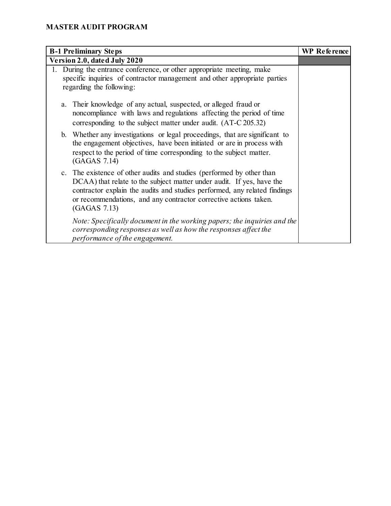| <b>B-1 Preliminary Steps</b>                                                                                                                                                                                                                                                                                    | <b>WP</b> Reference |
|-----------------------------------------------------------------------------------------------------------------------------------------------------------------------------------------------------------------------------------------------------------------------------------------------------------------|---------------------|
| Version 2.0, dated July 2020                                                                                                                                                                                                                                                                                    |                     |
| During the entrance conference, or other appropriate meeting, make<br>specific inquiries of contractor management and other appropriate parties<br>regarding the following:                                                                                                                                     |                     |
| Their knowledge of any actual, suspected, or alleged fraud or<br>a.<br>noncompliance with laws and regulations affecting the period of time<br>corresponding to the subject matter under audit. (AT-C 205.32)                                                                                                   |                     |
| b. Whether any investigations or legal proceedings, that are significant to<br>the engagement objectives, have been initiated or are in process with<br>respect to the period of time corresponding to the subject matter.<br>(GAGAS 7.14)                                                                      |                     |
| c. The existence of other audits and studies (performed by other than<br>DCAA) that relate to the subject matter under audit. If yes, have the<br>contractor explain the audits and studies performed, any related findings<br>or recommendations, and any contractor corrective actions taken.<br>(GAGAS 7.13) |                     |
| Note: Specifically document in the working papers; the inquiries and the<br>corresponding responses as well as how the responses affect the<br>performance of the engagement.                                                                                                                                   |                     |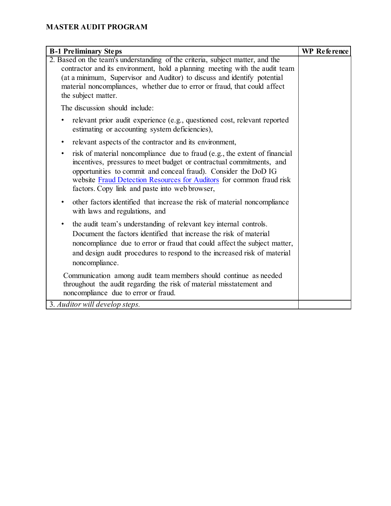| <b>B-1 Preliminary Steps</b>                                                                                                                                                                                                                                                                                                                                 | WP Reference |
|--------------------------------------------------------------------------------------------------------------------------------------------------------------------------------------------------------------------------------------------------------------------------------------------------------------------------------------------------------------|--------------|
| 2. Based on the team's understanding of the criteria, subject matter, and the<br>contractor and its environment, hold a planning meeting with the audit team<br>(at a minimum, Supervisor and Auditor) to discuss and identify potential<br>material noncompliances, whether due to error or fraud, that could affect<br>the subject matter.                 |              |
| The discussion should include:                                                                                                                                                                                                                                                                                                                               |              |
| relevant prior audit experience (e.g., questioned cost, relevant reported<br>٠<br>estimating or accounting system deficiencies),                                                                                                                                                                                                                             |              |
| relevant aspects of the contractor and its environment,<br>$\bullet$                                                                                                                                                                                                                                                                                         |              |
| risk of material noncompliance due to fraud (e.g., the extent of financial<br>$\bullet$<br>incentives, pressures to meet budget or contractual commitments, and<br>opportunities to commit and conceal fraud). Consider the DoD IG<br>website Fraud Detection Resources for Auditors for common fraud risk<br>factors. Copy link and paste into web browser, |              |
| other factors identified that increase the risk of material noncompliance<br>٠<br>with laws and regulations, and                                                                                                                                                                                                                                             |              |
| the audit team's understanding of relevant key internal controls.<br>$\bullet$<br>Document the factors identified that increase the risk of material<br>noncompliance due to error or fraud that could affect the subject matter,<br>and design audit procedures to respond to the increased risk of material<br>noncompliance.                              |              |
| Communication among audit team members should continue as needed<br>throughout the audit regarding the risk of material misstatement and<br>noncompliance due to error or fraud.                                                                                                                                                                             |              |
| 3. Auditor will develop steps.                                                                                                                                                                                                                                                                                                                               |              |